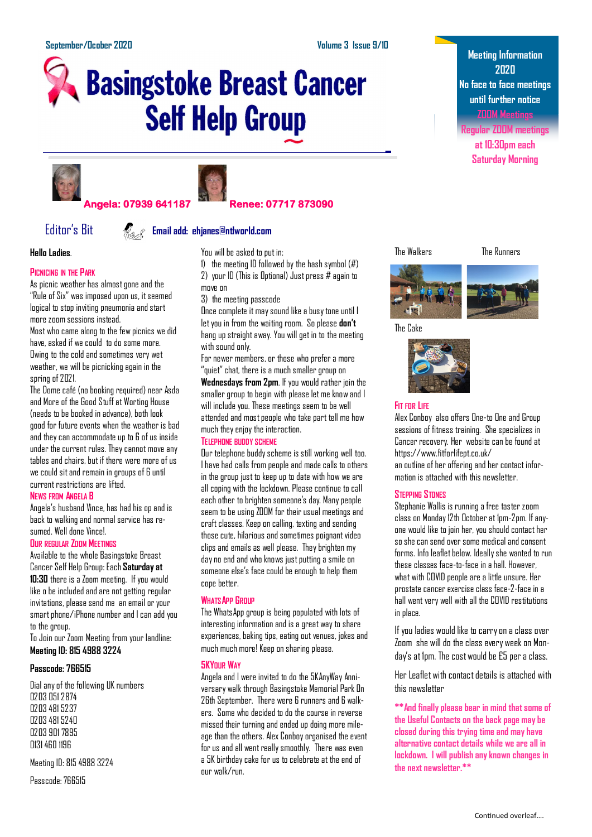# **Basingstoke Breast Cancer Self Help Group**





# **Angela: 07939 641187 Renee: 07717 873090**

# Editor's Bit **Email add: ehjanes@ntlworld.com**

**Hello Ladies**.

# **PICNICING IN THE PARK**

As picnic weather has almost gone and the "Rule of Six" was imposed upon us, it seemed logical to stop inviting pneumonia and start more zoom sessions instead.

Most who came along to the few picnics we did have, asked if we could to do some more. Owing to the cold and sometimes very wet weather, we will be picnicking again in the spring of 2021.

The Dome café (no booking required) near Asda and More of the Good Stuff at Worting House (needs to be booked in advance), both look good for future events when the weather is bad and they can accommodate up to 6 of us inside under the current rules. They cannot move any tables and chairs, but if there were more of us we could sit and remain in groups of 6 until current restrictions are lifted.

# **NEWS FROM ANGELA B**

Angela's husband Vince, has had his op and is back to walking and normal service has resumed. Well done Vince!.

#### **OUR REGULAR ZOOM MEETINGS**

Available to the whole Basingstoke Breast Cancer Self Help Group: Each **Saturday at 10:30** there is a Zoom meeting. If you would like o be included and are not getting regular invitations, please send me an email or your smart phone/iPhone number and I can add you to the group.

To Join our Zoom Meeting from your landline: **Meeting ID: 815 4988 3224**

# **Passcode: 766515**

Dial any of the following UK numbers 0203 051 2874 0203 481 5237 0203 481 5240 0203 901 7895 0131 460 1196

Meeting ID: 815 4988 3224

Passcode: 766515



1) the meeting ID followed by the hash symbol (#) 2) your ID (This is Optional) Just press # again to move on

3) the meeting passcode

Once complete it may sound like a busy tone until I let you in from the waiting room. So please **don't** hang up straight away. You will get in to the meeting with sound only.

For newer members, or those who prefer a more "quiet" chat, there is a much smaller group on

**Wednesdays from 2pm**. If you would rather join the smaller group to begin with please let me know and I will include you. These meetings seem to be well attended and most people who take part tell me how much they enjoy the interaction.

# **TELEPHONE BUDDY SCHEME**

Our telephone buddy scheme is still working well too. I have had calls from people and made calls to others in the group just to keep up to date with how we are all coping with the lockdown. Please continue to call each other to brighten someone's day. Many people seem to be using ZOOM for their usual meetings and craft classes. Keep on calling, texting and sending those cute, hilarious and sometimes poignant video clips and emails as well please. They brighten my day no end and who knows just putting a smile on someone else's face could be enough to help them cope better.

# **WHATSAPP GROUP**

The WhatsApp group is being populated with lots of interesting information and is a great way to share experiences, baking tips, eating out venues, jokes and much much more! Keep on sharing please.

# **5KYOUR WAY**

Angela and I were invited to do the 5KAnyWay Anniversary walk through Basingstoke Memorial Park 0n 26th September. There were 6 runners and 6 walkers. Some who decided to do the course in reverse missed their turning and ended up doing more mileage than the others. Alex Conboy organised the event for us and all went really smoothly. There was even a 5K birthday cake for us to celebrate at the end of our walk/run.

**Meeting Information 2020 No face to face meetings until further notice ZOOM Meetings**

**Regular ZOOM meetings at 10:30pm each Saturday Morning**

The Walkers The Runners



The Cake



# **FIT FOR LIFE**

Alex Conboy also offers One-to One and Group sessions of fitness training. She specializes in Cancer recovery. Her website can be found at https://www.fitforlifept.co.uk/ an outline of her offering and her contact infor-

mation is attached with this newsletter.

# **STEPPING STONES**

Stephanie Wallis is running a free taster zoom class on Monday 12th October at 1pm-2pm. If anyone would like to join her, you should contact her so she can send over some medical and consent forms. Info leaflet below. Ideally she wanted to run these classes face-to-face in a hall. However, what with COVID people are a little unsure. Her prostate cancer exercise class face-2-face in a hall went very well with all the COVID restitutions in place.

If you ladies would like to carry on a class over Zoom she will do the class every week on Monday's at 1pm. The cost would be £5 per a class.

Her Leaflet with contact details is attached with this newsletter

**\*\*And finally please bear in mind that some of the Useful Contacts on the back page may be closed during this trying time and may have alternative contact details while we are all in lockdown. I will publish any known changes in the next newsletter.\*\***